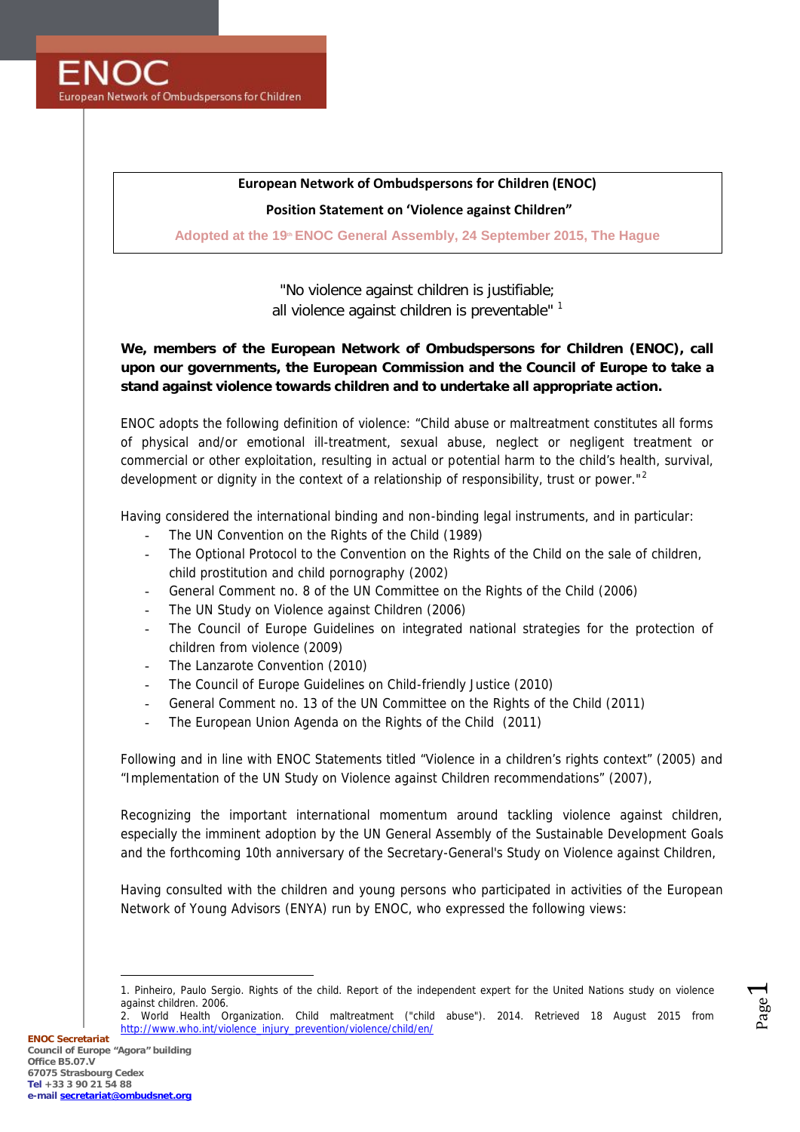

# **European Network of Ombudspersons for Children (ENOC)**

## **Position Statement on 'Violence against Children"**

**Adopted at the 19 th ENOC General Assembly, 24 September 2015, The Hague**

*"No violence against children is justifiable; all violence against children is preventable"* <sup>1</sup>

**We, members of the European Network of Ombudspersons for Children (ENOC), call upon our governments, the European Commission and the Council of Europe to take a stand against violence towards children and to undertake all appropriate action.**

ENOC adopts the following definition of violence: "Child abuse or maltreatment constitutes all forms of physical and/or emotional ill-treatment, sexual abuse, neglect or negligent treatment or commercial or other exploitation, resulting in actual or potential harm to the child's health, survival, development or dignity in the context of a relationship of responsibility, trust or power."<sup>2</sup>

Having considered the international binding and non-binding legal instruments, and in particular:

- The UN Convention on the Rights of the Child (1989)
- The Optional Protocol to the Convention on the Rights of the Child on the sale of children, child prostitution and child pornography (2002)
- General Comment no. 8 of the UN Committee on the Rights of the Child (2006)
- The UN Study on Violence against Children (2006)
- The Council of Europe Guidelines on integrated national strategies for the protection of children from violence (2009)
- The Lanzarote Convention (2010)
- The Council of Europe Guidelines on Child-friendly Justice (2010)
- General Comment no. 13 of the UN Committee on the Rights of the Child (2011)
- The European Union Agenda on the Rights of the Child (2011)

Following and in line with ENOC Statements titled "Violence in a children's rights context" (2005) and "Implementation of the UN Study on Violence against Children recommendations" (2007),

Recognizing the important international momentum around tackling violence against children, especially the imminent adoption by the UN General Assembly of the Sustainable Development Goals and the forthcoming 10th anniversary of the Secretary-General's Study on Violence against Children,

Having consulted with the children and young persons who participated in activities of the European Network of Young Advisors (ENYA) run by ENOC, who expressed the following views:

Page  $\overline{\phantom{0}}$ 

<sup>1.</sup> Pinheiro, Paulo Sergio. Rights of the child. Report of the independent expert for the United Nations study on violence against children. 2006.

<sup>2.</sup> World Health Organization. Child maltreatment ("child abuse"). 2014. Retrieved 18 August 2015 from http://www.who.int/violence\_injury\_prevention/violence/child/en/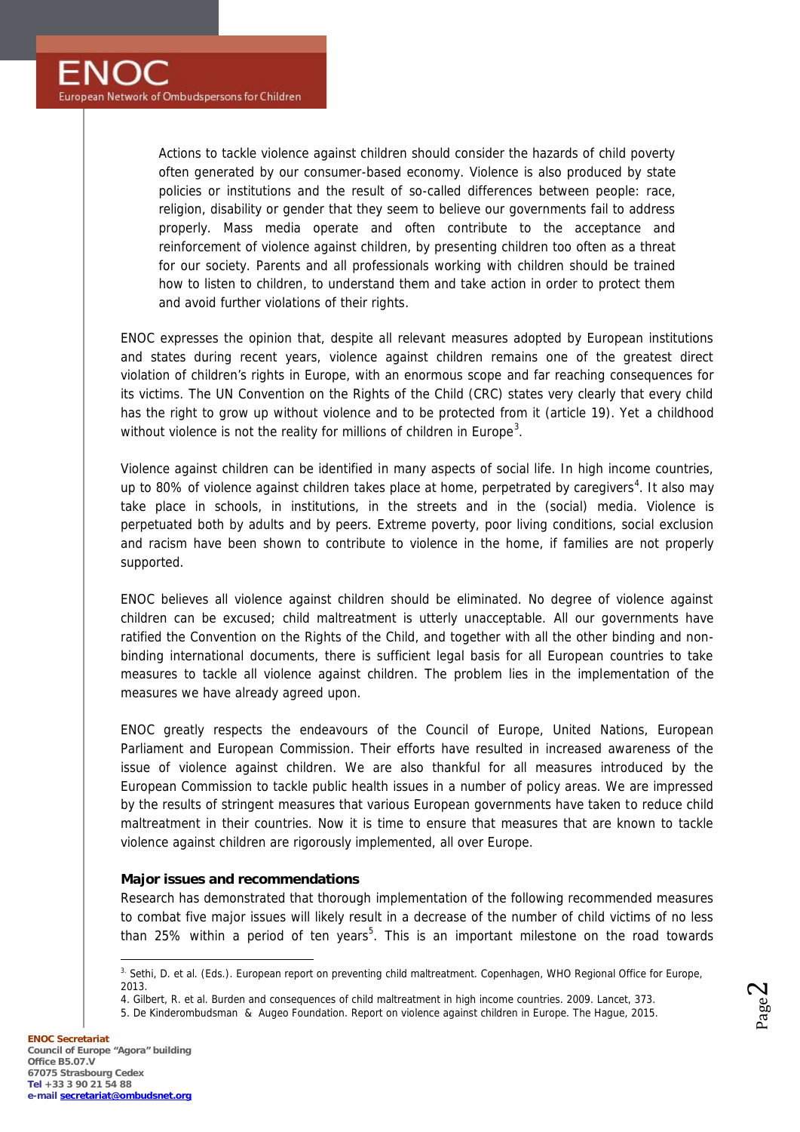Actions to tackle violence against children should consider the hazards of child poverty often generated by our consumer-based economy. Violence is also produced by state policies or institutions and the result of so-called differences between people: race, religion, disability or gender that they seem to believe our governments fail to address properly. Mass media operate and often contribute to the acceptance and reinforcement of violence against children, by presenting children too often as a threat for our society. Parents and all professionals working with children should be trained how to listen to children, to understand them and take action in order to protect them and avoid further violations of their rights.

ENOC expresses the opinion that, despite all relevant measures adopted by European institutions and states during recent years, violence against children remains one of the greatest direct violation of children's rights in Europe, with an enormous scope and far reaching consequences for its victims. The UN Convention on the Rights of the Child (CRC) states very clearly that every child has the right to grow up without violence and to be protected from it (article 19). Yet a childhood without violence is not the reality for millions of children in Europe<sup>3</sup>.

Violence against children can be identified in many aspects of social life. In high income countries, up to 80% of violence against children takes place at home, perpetrated by caregivers<sup>4</sup>. It also may take place in schools, in institutions, in the streets and in the (social) media. Violence is perpetuated both by adults and by peers. Extreme poverty, poor living conditions, social exclusion and racism have been shown to contribute to violence in the home, if families are not properly supported.

ENOC believes all violence against children should be eliminated. No degree of violence against children can be excused; child maltreatment is utterly unacceptable. All our governments have ratified the Convention on the Rights of the Child, and together with all the other binding and non binding international documents, there is sufficient legal basis for all European countries to take measures to tackle all violence against children. The problem lies in the implementation of the measures we have already agreed upon.

ENOC greatly respects the endeavours of the Council of Europe, United Nations, European Parliament and European Commission. Their efforts have resulted in increased awareness of the issue of violence against children. We are also thankful for all measures introduced by the European Commission to tackle public health issues in a number of policy areas. We are impressed by the results of stringent measures that various European governments have taken to reduce child maltreatment in their countries. Now it is time to ensure that measures that are known to tackle violence against children are rigorously implemented, all over Europe.

### *Major issues and recommendations*

Research has demonstrated that thorough implementation of the following recommended measures to combat five major issues will likely result in a decrease of the number of child victims of no less than 25% within a period of ten years<sup>5</sup>. This is an important milestone on the road towards

Page  $\mathbf{\sim}$ 

<sup>&</sup>lt;sup>3.</sup> Sethi, D. et al. (Eds.). European report on preventing child maltreatment. Copenhagen, WHO Regional Office for Europe, 2013.

<sup>4.</sup> Gilbert, R. et al. Burden and consequences of child maltreatment in high income countries. 2009. Lancet, 373.

<sup>5.</sup> De Kinderombudsman & Augeo Foundation. Report on violence against children in Europe. The Hague, 2015.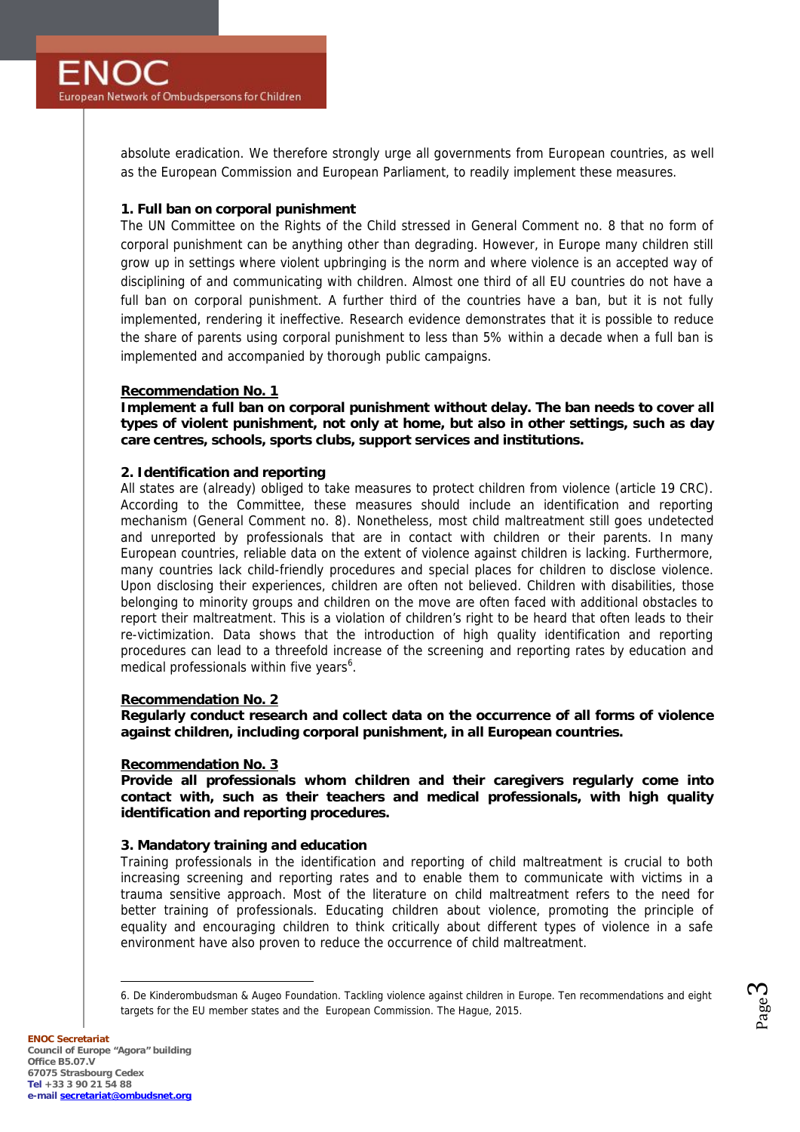absolute eradication. We therefore strongly urge all governments from European countries, as well as the European Commission and European Parliament, to readily implement these measures.

# **1. Full ban on corporal punishment**

The UN Committee on the Rights of the Child stressed in General Comment no. 8 that no form of corporal punishment can be anything other than degrading. However, in Europe many children still grow up in settings where violent upbringing is the norm and where violence is an accepted way of disciplining of and communicating with children. Almost one third of all EU countries do not have a full ban on corporal punishment. A further third of the countries have a ban, but it is not fully implemented, rendering it ineffective. Research evidence demonstrates that it is possible to reduce the share of parents using corporal punishment to less than 5% within a decade when a full ban is implemented and accompanied by thorough public campaigns.

# **Recommendation No. 1**

**Implement a full ban on corporal punishment without delay. The ban needs to cover all types of violent punishment, not only at home, but also in other settings, such as day care centres, schools, sports clubs, support services and institutions.**

# **2. Identification and reporting**

All states are (already) obliged to take measures to protect children from violence (article 19 CRC). According to the Committee, these measures should include an identification and reporting mechanism (General Comment no. 8). Nonetheless, most child maltreatment still goes undetected and unreported by professionals that are in contact with children or their parents. In many European countries, reliable data on the extent of violence against children is lacking. Furthermore, many countries lack child-friendly procedures and special places for children to disclose violence. Upon disclosing their experiences, children are often not believed. Children with disabilities, those belonging to minority groups and children on the move are often faced with additional obstacles to report their maltreatment. This is a violation of children's right to be heard that often leads to their re-victimization. Data shows that the introduction of high quality identification and reporting procedures can lead to a threefold increase of the screening and reporting rates by education and medical professionals within five years<sup>6</sup>.

### **Recommendation No. 2**

**Regularly conduct research and collect data on the occurrence of all forms of violence against children, including corporal punishment, in all European countries.**

### **Recommendation No. 3**

**Provide all professionals whom children and their caregivers regularly come into contact with, such as their teachers and medical professionals, with high quality identification and reporting procedures.**

### **3. Mandatory training and education**

Training professionals in the identification and reporting of child maltreatment is crucial to both increasing screening and reporting rates and to enable them to communicate with victims in a trauma sensitive approach. Most of the literature on child maltreatment refers to the need for better training of professionals. Educating children about violence, promoting the principle of equality and encouraging children to think critically about different types of violence in a safe environment have also proven to reduce the occurrence of child maltreatment.

<sup>6.</sup> De Kinderombudsman & Augeo Foundation. Tackling violence against children in Europe. Ten recommendations and eight targets for the EU member states and the European Commission. The Hague, 2015.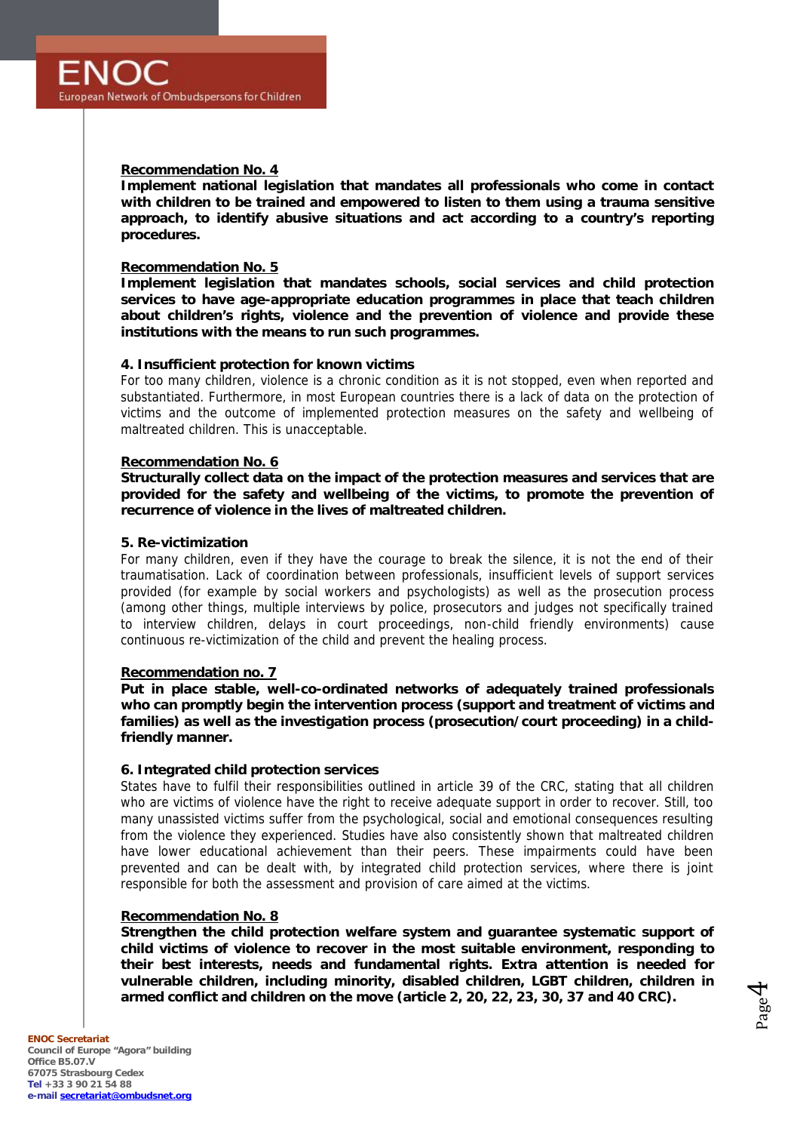### **Recommendation No. 4**

**Implement national legislation that mandates all professionals who come in contact with children to be trained and empowered to listen to them using a trauma sensitive approach, to identify abusive situations and act according to a country's reporting procedures.**

#### **Recommendation No. 5**

**Implement legislation that mandates schools, social services and child protection services to have age-appropriate education programmes in place that teach children about children's rights, violence and the prevention of violence and provide these institutions with the means to run such programmes.**

### **4. Insufficient protection for known victims**

For too many children, violence is a chronic condition as it is not stopped, even when reported and substantiated. Furthermore, in most European countries there is a lack of data on the protection of victims and the outcome of implemented protection measures on the safety and wellbeing of maltreated children. This is unacceptable.

#### **Recommendation No. 6**

**Structurally collect data on the impact of the protection measures and services that are provided for the safety and wellbeing of the victims, to promote the prevention of recurrence of violence in the lives of maltreated children.**

#### **5. Re-victimization**

For many children, even if they have the courage to break the silence, it is not the end of their traumatisation. Lack of coordination between professionals, insufficient levels of support services provided (for example by social workers and psychologists) as well as the prosecution process (among other things, multiple interviews by police, prosecutors and judges not specifically trained to interview children, delays in court proceedings, non-child friendly environments) cause continuous re-victimization of the child and prevent the healing process.

#### **Recommendation no. 7**

**Put in place stable, well-co-ordinated networks of adequately trained professionals who can promptly begin the intervention process (support and treatment of victims and families) as well as the investigation process (prosecution/court proceeding) in a childfriendly manner.**

### **6. Integrated child protection services**

States have to fulfil their responsibilities outlined in article 39 of the CRC, stating that all children who are victims of violence have the right to receive adequate support in order to recover. Still, too many unassisted victims suffer from the psychological, social and emotional consequences resulting from the violence they experienced. Studies have also consistently shown that maltreated children have lower educational achievement than their peers. These impairments could have been prevented and can be dealt with, by integrated child protection services, where there is joint responsible for both the assessment and provision of care aimed at the victims.

#### **Recommendation No. 8**

**Strengthen the child protection welfare system and guarantee systematic support of child victims of violence to recover in the most suitable environment, responding to their best interests, needs and fundamental rights. Extra attention is needed for vulnerable children, including minority, disabled children, LGBT children, children in armed conflict and children on the move (article 2, 20, 22, 23, 30, 37 and 40 CRC).**

Page 4